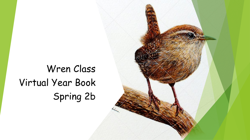## Wren Class Virtual Year Book Spring 2b

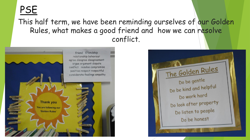## **PSE**

This half term, we have been reminding ourselves of our Golden Rules, what makes a good friend and how we can resolve conflict.



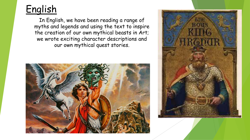

In English, we have been reading a range of myths and legends and using the text to inspire the creation of our own mythical beasts in Art; we wrote exciting character descriptions and our own mythical quest stories.



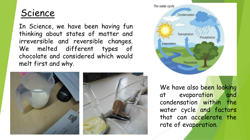## Science

In Science, we have been having fun thinking about states of matter and irreversible and reversible changes. We melted different types of chocolate and considered which would melt first and why.





We have also been looking at evaporation and condensation within the water cycle and factors that can accelerate the rate of evaporation.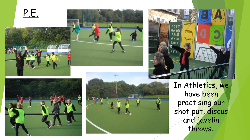P.E.









In Athletics, we have been practising our shot put, discus and javelin throws .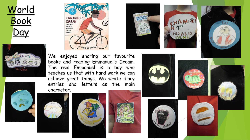













We enjoyed sharing our favourite books and reading Emmanuel's Dream. The real Emmanuel is a boy who teaches us that with hard work we can achieve great things. We wrote diary entries and letters as the main character.